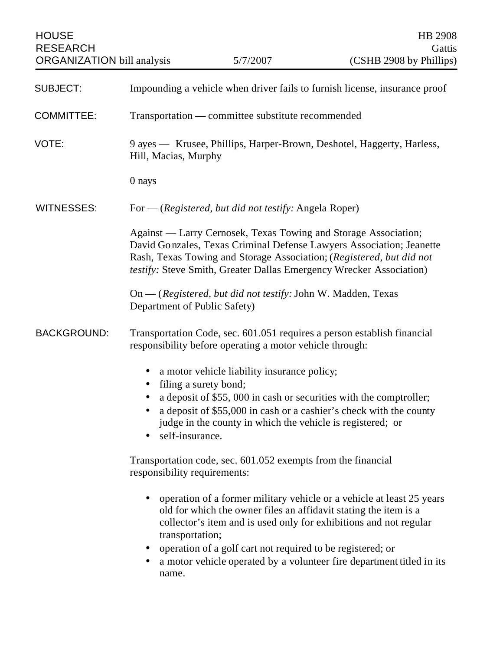| <b>HOUSE</b><br><b>RESEARCH</b><br><b>ORGANIZATION</b> bill analysis |                                                                                                                                                                                                                                                                                        | 5/7/2007                                                                                                                                                                                                                                                         | HB 2908<br>Gattis<br>(CSHB 2908 by Phillips)                                                                                                                                                                                                                                                                                                                                                                                       |  |
|----------------------------------------------------------------------|----------------------------------------------------------------------------------------------------------------------------------------------------------------------------------------------------------------------------------------------------------------------------------------|------------------------------------------------------------------------------------------------------------------------------------------------------------------------------------------------------------------------------------------------------------------|------------------------------------------------------------------------------------------------------------------------------------------------------------------------------------------------------------------------------------------------------------------------------------------------------------------------------------------------------------------------------------------------------------------------------------|--|
| <b>SUBJECT:</b>                                                      | Impounding a vehicle when driver fails to furnish license, insurance proof                                                                                                                                                                                                             |                                                                                                                                                                                                                                                                  |                                                                                                                                                                                                                                                                                                                                                                                                                                    |  |
| <b>COMMITTEE:</b>                                                    | Transportation — committee substitute recommended                                                                                                                                                                                                                                      |                                                                                                                                                                                                                                                                  |                                                                                                                                                                                                                                                                                                                                                                                                                                    |  |
| VOTE:                                                                | 9 ayes — Krusee, Phillips, Harper-Brown, Deshotel, Haggerty, Harless,<br>Hill, Macias, Murphy                                                                                                                                                                                          |                                                                                                                                                                                                                                                                  |                                                                                                                                                                                                                                                                                                                                                                                                                                    |  |
|                                                                      | 0 nays                                                                                                                                                                                                                                                                                 |                                                                                                                                                                                                                                                                  |                                                                                                                                                                                                                                                                                                                                                                                                                                    |  |
| <b>WITNESSES:</b>                                                    | For — (Registered, but did not testify: Angela Roper)                                                                                                                                                                                                                                  |                                                                                                                                                                                                                                                                  |                                                                                                                                                                                                                                                                                                                                                                                                                                    |  |
|                                                                      | Against — Larry Cernosek, Texas Towing and Storage Association;<br>David Gonzales, Texas Criminal Defense Lawyers Association; Jeanette<br>Rash, Texas Towing and Storage Association; (Registered, but did not<br>testify: Steve Smith, Greater Dallas Emergency Wrecker Association) |                                                                                                                                                                                                                                                                  |                                                                                                                                                                                                                                                                                                                                                                                                                                    |  |
|                                                                      | On — (Registered, but did not testify: John W. Madden, Texas<br>Department of Public Safety)                                                                                                                                                                                           |                                                                                                                                                                                                                                                                  |                                                                                                                                                                                                                                                                                                                                                                                                                                    |  |
| <b>BACKGROUND:</b>                                                   | Transportation Code, sec. 601.051 requires a person establish financial<br>responsibility before operating a motor vehicle through:                                                                                                                                                    |                                                                                                                                                                                                                                                                  |                                                                                                                                                                                                                                                                                                                                                                                                                                    |  |
|                                                                      | self-insurance.<br>responsibility requirements:<br>transportation;<br>$\bullet$<br>name.                                                                                                                                                                                               | a motor vehicle liability insurance policy;<br>filing a surety bond;<br>judge in the county in which the vehicle is registered; or<br>Transportation code, sec. 601.052 exempts from the financial<br>operation of a golf cart not required to be registered; or | a deposit of \$55,000 in cash or securities with the comptroller;<br>a deposit of \$55,000 in cash or a cashier's check with the county<br>operation of a former military vehicle or a vehicle at least 25 years<br>old for which the owner files an affidavit stating the item is a<br>collector's item and is used only for exhibitions and not regular<br>a motor vehicle operated by a volunteer fire department titled in its |  |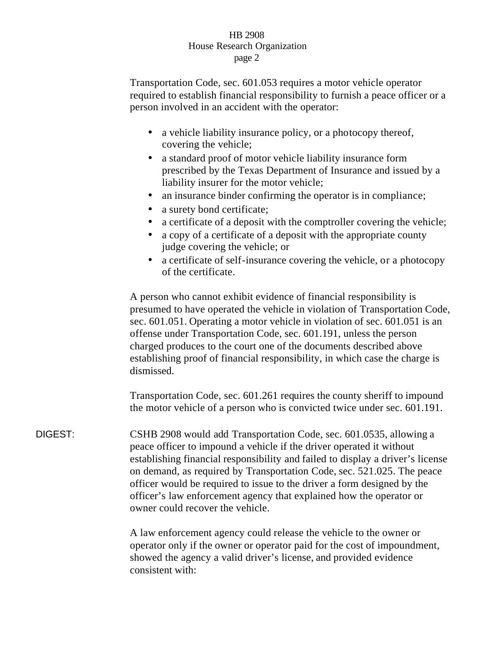## HB 2908 House Research Organization page 2

Transportation Code, sec. 601.053 requires a motor vehicle operator required to establish financial responsibility to furnish a peace officer or a person involved in an accident with the operator:

- a vehicle liability insurance policy, or a photocopy thereof, covering the vehicle;
- a standard proof of motor vehicle liability insurance form prescribed by the Texas Department of Insurance and issued by a liability insurer for the motor vehicle;
- an insurance binder confirming the operator is in compliance;
- a surety bond certificate;
- a certificate of a deposit with the comptroller covering the vehicle;
- a copy of a certificate of a deposit with the appropriate county judge covering the vehicle; or
- a certificate of self-insurance covering the vehicle, or a photocopy of the certificate.

A person who cannot exhibit evidence of financial responsibility is presumed to have operated the vehicle in violation of Transportation Code, sec. 601.051. Operating a motor vehicle in violation of sec. 601.051 is an offense under Transportation Code, sec. 601.191, unless the person charged produces to the court one of the documents described above establishing proof of financial responsibility, in which case the charge is dismissed.

Transportation Code, sec. 601.261 requires the county sheriff to impound the motor vehicle of a person who is convicted twice under sec. 601.191.

DIGEST: CSHB 2908 would add Transportation Code, sec. 601.0535, allowing a peace officer to impound a vehicle if the driver operated it without establishing financial responsibility and failed to display a driver's license on demand, as required by Transportation Code, sec. 521.025. The peace officer would be required to issue to the driver a form designed by the officer's law enforcement agency that explained how the operator or owner could recover the vehicle.

> A law enforcement agency could release the vehicle to the owner or operator only if the owner or operator paid for the cost of impoundment, showed the agency a valid driver's license, and provided evidence consistent with: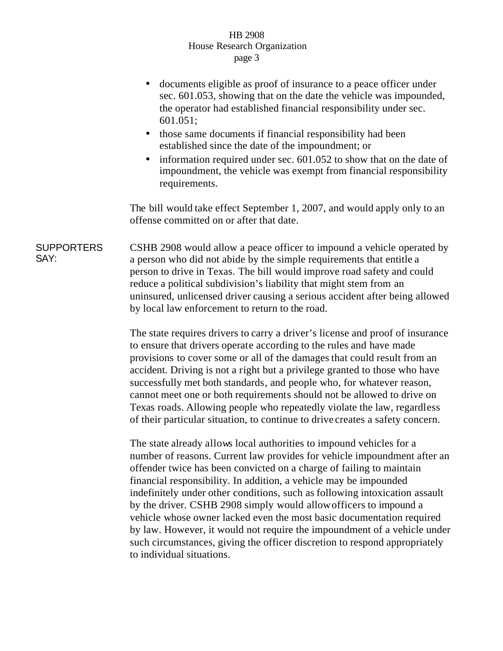## HB 2908 House Research Organization page 3

- documents eligible as proof of insurance to a peace officer under sec. 601.053, showing that on the date the vehicle was impounded, the operator had established financial responsibility under sec. 601.051;
- those same documents if financial responsibility had been established since the date of the impoundment; or
- information required under sec. 601.052 to show that on the date of impoundment, the vehicle was exempt from financial responsibility requirements.

The bill would take effect September 1, 2007, and would apply only to an offense committed on or after that date.

**SUPPORTERS** SAY: CSHB 2908 would allow a peace officer to impound a vehicle operated by a person who did not abide by the simple requirements that entitle a person to drive in Texas. The bill would improve road safety and could reduce a political subdivision's liability that might stem from an uninsured, unlicensed driver causing a serious accident after being allowed by local law enforcement to return to the road.

> The state requires drivers to carry a driver's license and proof of insurance to ensure that drivers operate according to the rules and have made provisions to cover some or all of the damages that could result from an accident. Driving is not a right but a privilege granted to those who have successfully met both standards, and people who, for whatever reason, cannot meet one or both requirements should not be allowed to drive on Texas roads. Allowing people who repeatedly violate the law, regardless of their particular situation, to continue to drive creates a safety concern.

> The state already allows local authorities to impound vehicles for a number of reasons. Current law provides for vehicle impoundment after an offender twice has been convicted on a charge of failing to maintain financial responsibility. In addition, a vehicle may be impounded indefinitely under other conditions, such as following intoxication assault by the driver. CSHB 2908 simply would allow officers to impound a vehicle whose owner lacked even the most basic documentation required by law. However, it would not require the impoundment of a vehicle under such circumstances, giving the officer discretion to respond appropriately to individual situations.